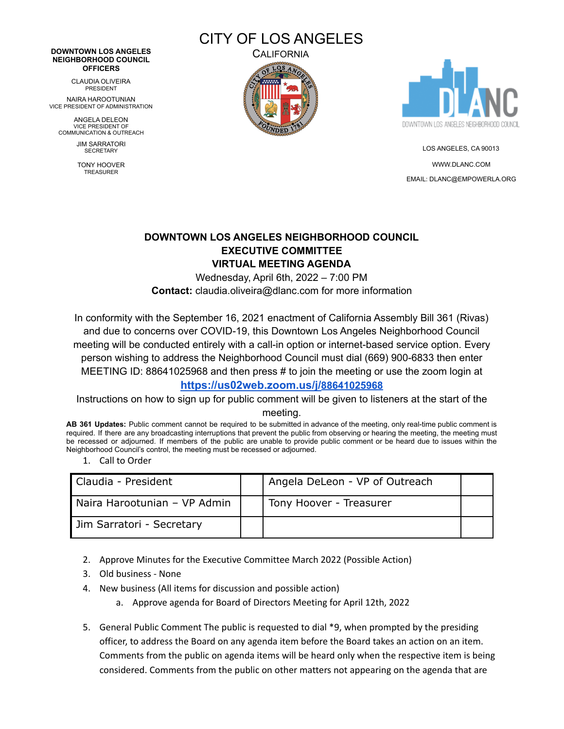## **DOWNTOWN LOS ANGELES NEIGHBORHOOD COUNCIL OFFICERS**

CLAUDIA OLIVEIRA PRESIDENT

NAIRA HAROOTUNIAN VICE PRESIDENT OF ADMINISTRATION

ANGELA DELEON VICE PRESIDENT OF COMMUNICATION & OUTREACH

> JIM SARRATORI **SECRETARY**

TONY HOOVER TREASURER



**CALIFORNIA** 





LOS ANGELES, CA 90013 [WWW.DLANC.COM](http://www.dlanc.com) EMAIL: [DLANC@EMPOWERLA.ORG](mailto:DLANC@EMPOWERLA.ORG)

## **DOWNTOWN LOS ANGELES NEIGHBORHOOD COUNCIL EXECUTIVE COMMITTEE VIRTUAL MEETING AGENDA**

Wednesday, April 6th, 2022 – 7:00 PM **Contact:** claudia.oliveira@dlanc.com for more information

In conformity with the September 16, 2021 enactment of California Assembly Bill 361 (Rivas) and due to concerns over COVID-19, this Downtown Los Angeles Neighborhood Council meeting will be conducted entirely with a call-in option or internet-based service option. Every person wishing to address the Neighborhood Council must dial (669) 900-6833 then enter MEETING ID: 88641025968 and then press # to join the meeting or use the zoom login at

**[https://us02web.zoom.us/j/](https://us02web.zoom.us/j/88641025968)88641025968**

Instructions on how to sign up for public comment will be given to listeners at the start of the meeting.

**AB 361 Updates:** Public comment cannot be required to be submitted in advance of the meeting, only real-time public comment is required. If there are any broadcasting interruptions that prevent the public from observing or hearing the meeting, the meeting must be recessed or adjourned. If members of the public are unable to provide public comment or be heard due to issues within the Neighborhood Council's control, the meeting must be recessed or adjourned.

1. Call to Order

| Claudia - President          | Angela DeLeon - VP of Outreach |  |
|------------------------------|--------------------------------|--|
| Naira Harootunian - VP Admin | Tony Hoover - Treasurer        |  |
| Jim Sarratori - Secretary    |                                |  |

- 2. Approve Minutes for the Executive Committee March 2022 (Possible Action)
- 3. Old business None
- 4. New business (All items for discussion and possible action)
	- a. Approve agenda for Board of Directors Meeting for April 12th, 2022
- 5. General Public Comment The public is requested to dial \*9, when prompted by the presiding officer, to address the Board on any agenda item before the Board takes an action on an item. Comments from the public on agenda items will be heard only when the respective item is being considered. Comments from the public on other matters not appearing on the agenda that are